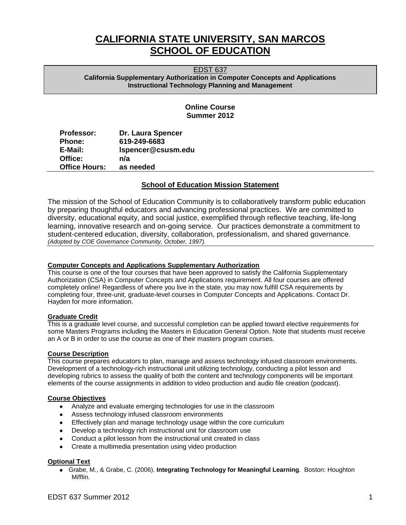# **CALIFORNIA STATE UNIVERSITY, SAN MARCOS SCHOOL OF EDUCATION**

EDST 637 **California Supplementary Authorization in Computer Concepts and Applications Instructional Technology Planning and Management** 

# **Online Course Summer 2012**

| <b>Professor:</b>    | <b>Dr. Laura Spencer</b> |
|----------------------|--------------------------|
| <b>Phone:</b>        | 619-249-6683             |
| E-Mail:              | Ispencer@csusm.edu       |
| Office:              | n/a                      |
| <b>Office Hours:</b> | as needed                |

# **School of Education Mission Statement**

 The mission of the School of Education Community is to collaboratively transform public education by preparing thoughtful educators and advancing professional practices. We are committed to diversity, educational equity, and social justice, exemplified through reflective teaching, life-long learning, innovative research and on-going service. Our practices demonstrate a commitment to student-centered education, diversity, collaboration, professionalism, and shared governance. *(Adopted by COE Governance Community, October, 1997).* 

# **Computer Concepts and Applications Supplementary Authorization**

 completely online! Regardless of where you live in the state, you may now fulfill CSA requirements by This course is one of the four courses that have been approved to satisfy the California Supplementary Authorization (CSA) in Computer Concepts and Applications requirement. All four courses are offered completing four, three-unit, graduate-level courses in Computer Concepts and Applications. Contact Dr. Hayden for more information.

# **Graduate Credit**

This is a graduate level course, and successful completion can be applied toward elective requirements for some Masters Programs including the Masters in Education General Option. Note that students must receive an A or B in order to use the course as one of their masters program courses.

## **Course Description**

This course prepares educators to plan, manage and assess technology infused classroom environments. Development of a technology-rich instructional unit utilizing technology, conducting a pilot lesson and developing rubrics to assess the quality of both the content and technology components will be important elements of the course assignments in addition to video production and audio file creation (podcast).

## **Course Objectives**

- Analyze and evaluate emerging technologies for use in the classroom
- Assess technology infused classroom environments
- $\bullet$ Effectively plan and manage technology usage within the core curriculum
- Develop a technology rich instructional unit for classroom use
- Conduct a pilot lesson from the instructional unit created in class
- Create a multimedia presentation using video production

## **Optional Text**

Grabe, M., & Grabe, C. (2006). **Integrating Technology for Meaningful Learning**. Boston: Houghton  $\bullet$ Mifflin.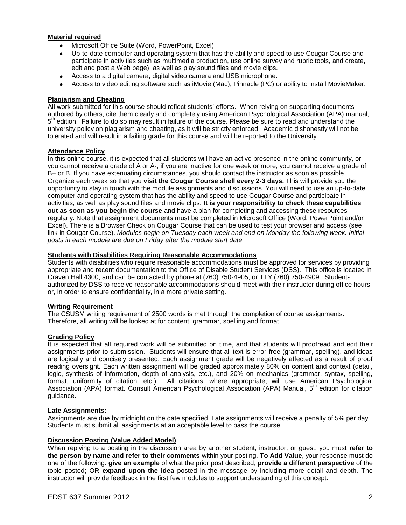## **Material required**

- Microsoft Office Suite (Word, PowerPoint, Excel)
- Up-to-date computer and operating system that has the ability and speed to use Cougar Course and participate in activities such as multimedia production, use online survey and rubric tools, and create, edit and post a Web page), as well as play sound files and movie clips.
- Access to a digital camera, digital video camera and USB microphone.
- Access to video editing software such as iMovie (Mac), Pinnacle (PC) or ability to install MovieMaker.

## **Plagiarism and Cheating**

All work submitted for this course should reflect students' efforts. When relying on supporting documents authored by others, cite them clearly and completely using American Psychological Association (APA) manual,  $5<sup>th</sup>$  edition. Failure to do so may result in failure of the course. Please be sure to read and understand the university policy on plagiarism and cheating, as it will be strictly enforced. Academic dishonestly will not be tolerated and will result in a failing grade for this course and will be reported to the University.

## **Attendance Policy**

In this online course, it is expected that all students will have an active presence in the online community, or you cannot receive a grade of A or A-; if you are inactive for one week or more, you cannot receive a grade of B+ or B. If you have extenuating circumstances, you should contact the instructor as soon as possible. Organize each week so that you **visit the Cougar Course shell every 2-3 days.** This will provide you the opportunity to stay in touch with the module assignments and discussions. You will need to use an up-to-date computer and operating system that has the ability and speed to use Cougar Course and participate in activities, as well as play sound files and movie clips. **It is your responsibility to check these capabilities out as soon as you begin the course** and have a plan for completing and accessing these resources regularly. Note that assignment documents must be completed in Microsoft Office (Word, PowerPoint and/or Excel). There is a Browser Check on Cougar Course that can be used to test your browser and access (see link in Cougar Course). *Modules begin on Tuesday each week and end on Monday the following week. Initial posts in each module are due on Friday after the module start date.* 

## **Students with Disabilities Requiring Reasonable Accommodations**

Students with disabilities who require reasonable accommodations must be approved for services by providing appropriate and recent documentation to the Office of Disable Student Services (DSS). This office is located in Craven Hall 4300, and can be contacted by phone at (760) 750-4905, or TTY (760) 750-4909. Students authorized by DSS to receive reasonable accommodations should meet with their instructor during office hours or, in order to ensure confidentiality, in a more private setting.

## **Writing Requirement**

The CSUSM writing requirement of 2500 words is met through the completion of course assignments. Therefore, all writing will be looked at for content, grammar, spelling and format.

## **Grading Policy**

 It is expected that all required work will be submitted on time, and that students will proofread and edit their assignments prior to submission. Students will ensure that all text is error-free (grammar, spelling), and ideas are logically and concisely presented. Each assignment grade will be negatively affected as a result of proof reading oversight. Each written assignment will be graded approximately 80% on content and context (detail, logic, synthesis of information, depth of analysis, etc.), and 20% on mechanics (grammar, syntax, spelling, format, uniformity of citation, etc.). All citations, where appropriate, will use American Psychological Association (APA) format. Consult American Psychological Association (APA) Manual, 5<sup>th</sup> edition for citation guidance.

## **Late Assignments:**

Assignments are due by midnight on the date specified. Late assignments will receive a penalty of 5% per day. Students must submit all assignments at an acceptable level to pass the course.

## **Discussion Posting (Value Added Model)**

 When replying to a posting in the discussion area by another student, instructor, or guest, you must **refer to the person by name and refer to their comments** within your posting. **To Add Value**, your response must do one of the following: **give an example** of what the prior post described; **provide a different perspective** of the  topic posted; OR **expand upon the idea** posted in the message by including more detail and depth. The instructor will provide feedback in the first few modules to support understanding of this concept.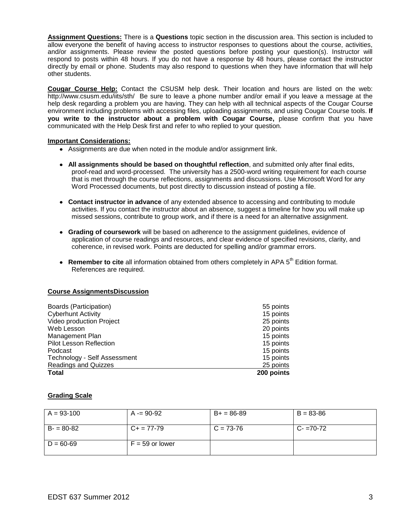**Assignment Questions:** There is a **Questions** topic section in the discussion area. This section is included to allow everyone the benefit of having access to instructor responses to questions about the course, activities, and/or assignments. Please review the posted questions before posting your question(s). Instructor will respond to posts within 48 hours. If you do not have a response by 48 hours, please contact the instructor directly by email or phone. Students may also respond to questions when they have information that will help other students.

 **Cougar Course Help:** Contact the CSUSM help desk. Their location and hours are listed on the web: <http://www.csusm.edu/iits/sth/>Be sure to leave a phone number and/or email if you leave a message at the help desk regarding a problem you are having. They can help with all technical aspects of the Cougar Course  **you write to the instructor about a problem with Cougar Course,** please confirm that you have environment including problems with accessing files, uploading assignments, and using Cougar Course tools. **If**  communicated with the Help Desk first and refer to who replied to your question.

## **Important Considerations:**

- Assignments are due when noted in the module and/or assignment link.
- **All assignments should be based on thoughtful reflection**, and submitted only after final edits, proof-read and word-processed. The university has a 2500-word writing requirement for each course that is met through the course reflections, assignments and discussions. Use Microsoft Word for any Word Processed documents, but post directly to discussion instead of posting a file.
- **Contact instructor in advance** of any extended absence to accessing and contributing to module activities. If you contact the instructor about an absence, suggest a timeline for how you will make up missed sessions, contribute to group work, and if there is a need for an alternative assignment.
- **Grading of coursework** will be based on adherence to the assignment guidelines, evidence of application of course readings and resources, and clear evidence of specified revisions, clarity, and coherence, in revised work. Points are deducted for spelling and/or grammar errors.
- Remember to cite all information obtained from others completely in APA 5<sup>th</sup> Edition format. References are required.

## **Course AssignmentsDiscussion**

| Boards (Participation)         | 55 points  |
|--------------------------------|------------|
| <b>Cyberhunt Activity</b>      | 15 points  |
| Video production Project       | 25 points  |
| Web Lesson                     | 20 points  |
| Management Plan                | 15 points  |
| <b>Pilot Lesson Reflection</b> | 15 points  |
| Podcast                        | 15 points  |
| Technology - Self Assessment   | 15 points  |
| <b>Readings and Quizzes</b>    | 25 points  |
| <b>Total</b>                   | 200 points |

## **Grading Scale**

| $A = 93-100$  | $A = 90-92$       | $B+ = 86-89$ | $B = 83 - 86$ |
|---------------|-------------------|--------------|---------------|
| $B = 80-82$   | $C_{+}$ = 77-79   | $C = 73-76$  | $C - 70 - 72$ |
| $D = 60 - 69$ | $F = 59$ or lower |              |               |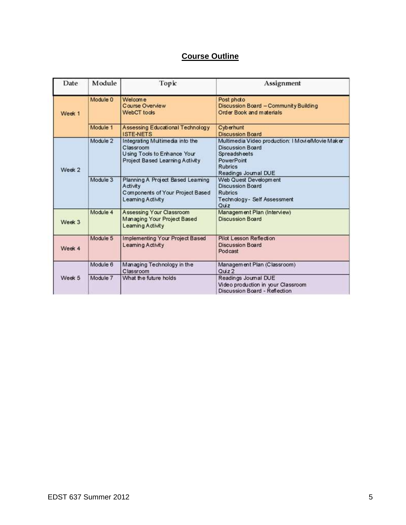# **Course Outline**

| Date   | Module   | Торіс                                                                                                          | Assignment                                                                                                                                           |
|--------|----------|----------------------------------------------------------------------------------------------------------------|------------------------------------------------------------------------------------------------------------------------------------------------------|
| Week 1 | Module 0 | Welcome<br>Course Overview<br><b>WebCT</b> tools                                                               | Post photo<br>Discussion Board - Community Building<br>Order Book and materials                                                                      |
|        | Module 1 | <b>Assessing Educational Technology</b><br><b>ISTE-NETS</b>                                                    | Cyberhunt<br><b>Discussion Board</b>                                                                                                                 |
| Week 2 | Module 2 | Integrating Multimedia into the<br>Classroom<br>Using Tools to Enhance Your<br>Project Based Learning Activity | Multimedia Video production: I Movi e/Movie Maker<br>Discussion Board<br>Spreadsheets<br><b>PowerPoint</b><br><b>Rubrics</b><br>Readings Journal DUE |
|        | Module 3 | Planning A Project Based Learning<br><b>Activity</b><br>Components of Your Project Based<br>Learning Activity  | Web Quest Development<br><b>Discussion Board</b><br><b>Rubrics</b><br>Technology - Self Assessment<br>Quiz                                           |
| Week 3 | Module 4 | Assessing Your Classroom<br>Managing Your Project Based<br>Learning Activity                                   | Management Plan (Interview)<br><b>Discussion Board</b>                                                                                               |
| Week 4 | Module 5 | Implementing Your Project Based<br>Learning Activity                                                           | Pilot Lesson Reflection<br><b>Discussion Board</b><br>Podcast                                                                                        |
|        | Module 6 | Managing Technology in the<br>Classroom                                                                        | Management Plan (Classroom)<br>Quz2                                                                                                                  |
| Week 5 | Module 7 | What the future holds                                                                                          | Readings Journal DUE<br>Video production in your Classroom<br>Discussion Board - Reflection                                                          |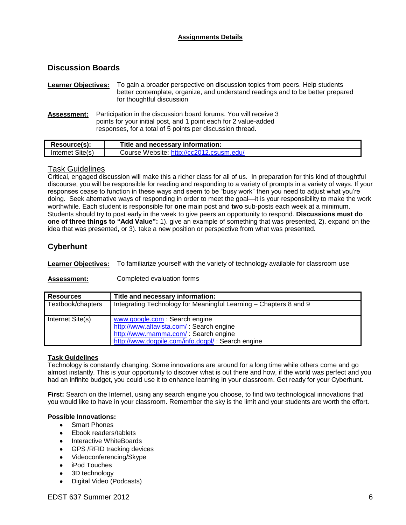# **Assignments Details**

# **Discussion Boards**

**Learner Objectives:** To gain a broader perspective on discussion topics from peers. Help students better contemplate, organize, and understand readings and to be better prepared for thoughtful discussion

Assessment: Participation in the discussion board forums. You will receive 3 points for your initial post, and 1 point each for 2 value-added responses, for a total of 5 points per discussion thread.

| Resource(s):     | Title and necessary information:         |
|------------------|------------------------------------------|
| Internet Site(s) | Course Website: http://cc2012.csusm.edu/ |

# Task Guidelines

 worthwhile. Each student is responsible for **one** main post and **two** sub-posts each week at a minimum. idea that was presented, or 3). take a new position or perspective from what was presented. Critical, engaged discussion will make this a richer class for all of us. In preparation for this kind of thoughtful discourse, you will be responsible for reading and responding to a variety of prompts in a variety of ways. If your responses cease to function in these ways and seem to be "busy work" then you need to adjust what you're doing. Seek alternative ways of responding in order to meet the goal—it is your responsibility to make the work Students should try to post early in the week to give peers an opportunity to respond. **Discussions must do one of three things to "Add Value":** 1). give an example of something that was presented, 2). expand on the

# **Cyberhunt**

**Learner Objectives:** To familiarize yourself with the variety of technology available for classroom use

# Assessment: Completed evaluation forms

| <b>Resources</b>  | Title and necessary information:                                                                                                                                       |
|-------------------|------------------------------------------------------------------------------------------------------------------------------------------------------------------------|
| Textbook/chapters | Integrating Technology for Meaningful Learning – Chapters 8 and 9                                                                                                      |
| Internet Site(s)  | www.google.com: Search engine<br>http://www.altavista.com/: Search engine<br>http://www.mamma.com/: Search engine<br>http://www.dogpile.com/info.dogpl/: Search engine |

# **Task Guidelines**

Technology is constantly changing. Some innovations are around for a long time while others come and go almost instantly. This is your opportunity to discover what is out there and how, if the world was perfect and you had an infinite budget, you could use it to enhance learning in your classroom. Get ready for your Cyberhunt.

**First:** Search on the Internet, using any search engine you choose, to find two technological innovations that you would like to have in your classroom. Remember the sky is the limit and your students are worth the effort.

## **Possible Innovations:**

- Smart Phones
- Ebook readers/tablets
- Interactive WhiteBoards
- GPS /RFID tracking devices<br>Videoconferencing/Skype
- 
- iPod Touches
- 3D technology
- Digital Video (Podcasts)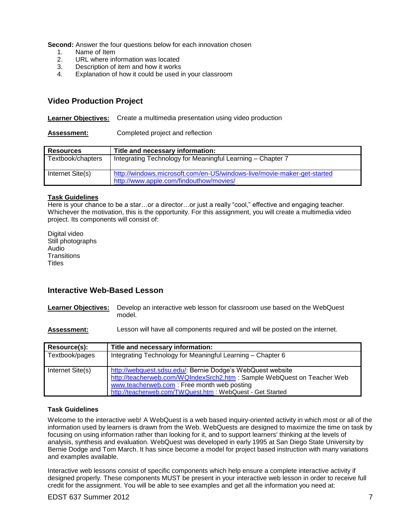**Second:** Answer the four questions below for each innovation chosen

- $1<sub>1</sub>$ Name of Item
- $2.$ URL where information was located
- $\overline{3}$ . Description of item and how it works
- $\overline{4}$ . Explanation of how it could be used in your classroom

# **Video Production Project**

**Learner Objectives:** Create a multimedia presentation using video production

**Assessment:** Completed project and reflection

| <b>Resources</b>  | Title and necessary information:                                                                                   |
|-------------------|--------------------------------------------------------------------------------------------------------------------|
| Textbook/chapters | Integrating Technology for Meaningful Learning - Chapter 7                                                         |
| Internet Site(s)  | http://windows.microsoft.com/en-US/windows-live/movie-maker-get-started<br>http://www.apple.com/findouthow/movies/ |

## **Task Guidelines**

Here is your chance to be a star…or a director…or just a really "cool," effective and engaging teacher. Whichever the motivation, this is the opportunity. For this assignment, you will create a multimedia video project. Its components will consist of:

Digital video Still photographs Audio **Transitions Titles** 

# **Interactive Web-Based Lesson**

Learner Objectives: Develop an interactive web lesson for classroom use based on the WebQuest model.

**Assessment:** Lesson will have all components required and will be posted on the internet.

| Resource(s):     | Title and necessary information:                                                                                                                                                                                                                  |
|------------------|---------------------------------------------------------------------------------------------------------------------------------------------------------------------------------------------------------------------------------------------------|
| Textbook/pages   | Integrating Technology for Meaningful Learning – Chapter 6                                                                                                                                                                                        |
| Internet Site(s) | http://webquest.sdsu.edu/: Bernie Dodge's WebQuest website<br>http://teacherweb.com/WQIndexSrch2.htm : Sample WebQuest on Teacher Web<br>www.teacherweb.com: Free month web posting<br>http://teacherweb.com/TWQuest.htm : WebQuest - Get Started |

## **Task Guidelines**

Welcome to the interactive web! A WebQuest is a web based inquiry-oriented activity in which most or all of the information used by learners is drawn from the Web. WebQuests are designed to maximize the time on task by focusing on using information rather than looking for it, and to support learners' thinking at the levels of analysis, synthesis and evaluation. WebQuest was developed in early 1995 at San Diego State University by Bernie Dodge and Tom March. It has since become a model for project based instruction with many variations and examples available.

Interactive web lessons consist of specific components which help ensure a complete interactive activity if designed properly. These components MUST be present in your interactive web lesson in order to receive full credit for the assignment. You will be able to see examples and get all the information you need at: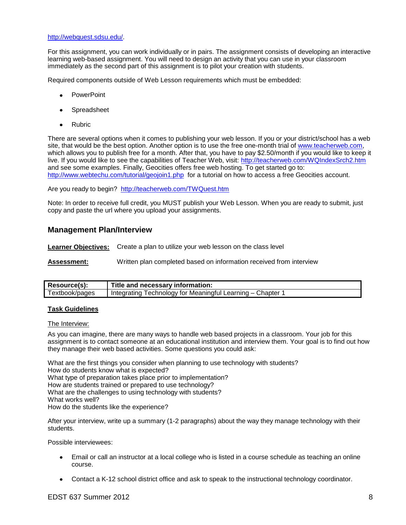#### [http://webquest.sdsu.edu/.](http://webquest.sdsu.edu/)

For this assignment, you can work individually or in pairs. The assignment consists of developing an interactive learning web-based assignment. You will need to design an activity that you can use in your classroom immediately as the second part of this assignment is to pilot your creation with students.

Required components outside of Web Lesson requirements which must be embedded:

- **PowerPoint**
- Spreadsheet
- Rubric

 There are several options when it comes to publishing your web lesson. If you or your district/school has a web <http://www.webtechu.com/tutorial/geojoin1.php>for a tutorial on how to access a free Geocities account. site, that would be the best option. Another option is to use the free one-month trial of [www.teacherweb.com,](http://www.teacherweb.com/) which allows you to publish free for a month. After that, you have to pay \$2.50/month if you would like to keep it live. If you would like to see the capabilities of Teacher Web, visit: http://teacherweb.com/WQIndexSrch2.htm and see some examples. Finally, Geocities offers free web hosting. To get started go to:

Are you ready to begin? http://teacherweb.com/TWQuest.htm

Note: In order to receive full credit, you MUST publish your Web Lesson. When you are ready to submit, just copy and paste the url where you upload your assignments.

# **Management Plan/Interview**

**Learner Objectives:** Create a plan to utilize your web lesson on the class level

**Assessment:** Written plan completed based on information received from interview

| Resource(s):   | Title and necessary information:                                 |
|----------------|------------------------------------------------------------------|
| Textbook/pages | Technology for Meaningful Learning – 0<br>Chapter<br>Integrating |

## **Task Guidelines**

#### The Interview:

 As you can imagine, there are many ways to handle web based projects in a classroom. Your job for this assignment is to contact someone at an educational institution and interview them. Your goal is to find out how they manage their web based activities. Some questions you could ask:

 What works well? What are the first things you consider when planning to use technology with students? How do students know what is expected? What type of preparation takes place prior to implementation? How are students trained or prepared to use technology? What are the challenges to using technology with students? How do the students like the experience?

After your interview, write up a summary (1-2 paragraphs) about the way they manage technology with their students.

Possible interviewees:

- Email or call an instructor at a local college who is listed in a course schedule as teaching an online course.
- Contact a K-12 school district office and ask to speak to the instructional technology coordinator.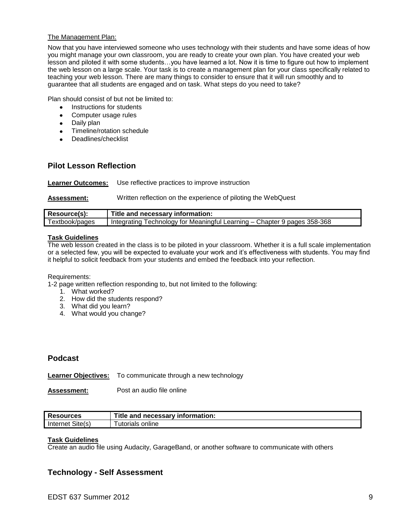## The Management Plan:

Now that you have interviewed someone who uses technology with their students and have some ideas of how you might manage your own classroom, you are ready to create your own plan. You have created your web lesson and piloted it with some students…you have learned a lot. Now it is time to figure out how to implement the web lesson on a large scale. Your task is to create a management plan for your class specifically related to teaching your web lesson. There are many things to consider to ensure that it will run smoothly and to guarantee that all students are engaged and on task. What steps do you need to take?

Plan should consist of but not be limited to:

- Instructions for students
- Computer usage rules  $\bullet$
- Daily plan
- Timeline/rotation schedule
- Deadlines/checklist

# **Pilot Lesson Reflection**

**Learner Outcomes:** Use reflective practices to improve instruction

|  | <b>Assessment:</b> | Written reflection on the experience of piloting the WebQuest |  |  |  |
|--|--------------------|---------------------------------------------------------------|--|--|--|
|--|--------------------|---------------------------------------------------------------|--|--|--|

| Resource(s):   | Title and necessary information:                                         |
|----------------|--------------------------------------------------------------------------|
| Textbook/pages | Integrating Technology for Meaningful Learning - Chapter 9 pages 358-368 |

## **Task Guidelines**

 The web lesson created in the class is to be piloted in your classroom. Whether it is a full scale implementation or a selected few, you will be expected to evaluate your work and it's effectiveness with students. You may find it helpful to solicit feedback from your students and embed the feedback into your reflection.

Requirements:

1-2 page written reflection responding to, but not limited to the following:

- 1. What worked?
- 2. How did the students respond?
- 3. What did you learn?
- 4. What would you change?

# **Podcast**

**Learner Objectives:** To communicate through a new technology

**Assessment:** Post an audio file online

| <b>Resources</b> | Title and necessary information: |
|------------------|----------------------------------|
| Internet Site(s) | ≅online<br>utorials              |

## **Task Guidelines**

Create an audio file using Audacity, GarageBand, or another software to communicate with others

# **Technology - Self Assessment**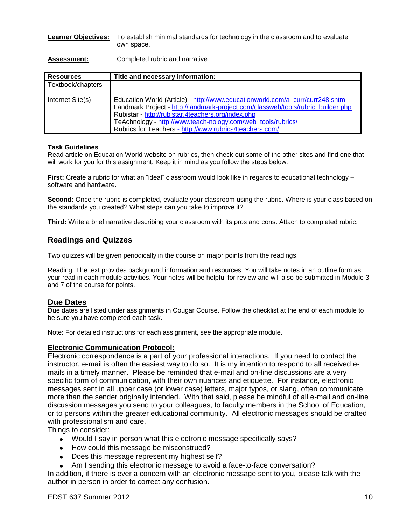## **Learner Objectives:** To establish minimal standards for technology in the classroom and to evaluate own space.

Assessment: Completed rubric and narrative.

| <b>Resources</b>  | Title and necessary information:                                                                                                                                                                                                                                                                                                                    |
|-------------------|-----------------------------------------------------------------------------------------------------------------------------------------------------------------------------------------------------------------------------------------------------------------------------------------------------------------------------------------------------|
| Textbook/chapters |                                                                                                                                                                                                                                                                                                                                                     |
| Internet Site(s)  | Education World (Article) - http://www.educationworld.com/a_curr/curr248.shtml<br>Landmark Project - http://landmark-project.com/classweb/tools/rubric_builder.php<br>Rubistar - http://rubistar.4teachers.org/index.php<br>TeAchnology - http://www.teach-nology.com/web_tools/rubrics/<br>Rubrics for Teachers - http://www.rubrics4teachers.com/ |

# **Task Guidelines**

Read article on Education World website on rubrics, then check out some of the other sites and find one that will work for you for this assignment. Keep it in mind as you follow the steps below.

**First:** Create a rubric for what an "ideal" classroom would look like in regards to educational technology – software and hardware.

**Second:** Once the rubric is completed, evaluate your classroom using the rubric. Where is your class based on the standards you created? What steps can you take to improve it?

**Third:** Write a brief narrative describing your classroom with its pros and cons. Attach to completed rubric.

# **Readings and Quizzes**

Two quizzes will be given periodically in the course on major points from the readings.

Reading: The text provides background information and resources. You will take notes in an outline form as your read in each module activities. Your notes will be helpful for review and will also be submitted in Module 3 and 7 of the course for points.

# **Due Dates**

Due dates are listed under assignments in Cougar Course. Follow the checklist at the end of each module to be sure you have completed each task.

Note: For detailed instructions for each assignment, see the appropriate module.

# **Electronic Communication Protocol:**

 Electronic correspondence is a part of your professional interactions. If you need to contact the instructor, e-mail is often the easiest way to do so. It is my intention to respond to all received e- mails in a timely manner. Please be reminded that e-mail and on-line discussions are a very specific form of communication, with their own nuances and etiquette. For instance, electronic messages sent in all upper case (or lower case) letters, major typos, or slang, often communicate more than the sender originally intended. With that said, please be mindful of all e-mail and on-line discussion messages you send to your colleagues, to faculty members in the School of Education, or to persons within the greater educational community. All electronic messages should be crafted with professionalism and care.

Things to consider:

- Would I say in person what this electronic message specifically says?
- How could this message be misconstrued?
- Does this message represent my highest self?
- Am I sending this electronic message to avoid a face-to-face conversation?

 In addition, if there is ever a concern with an electronic message sent to you, please talk with the author in person in order to correct any confusion.